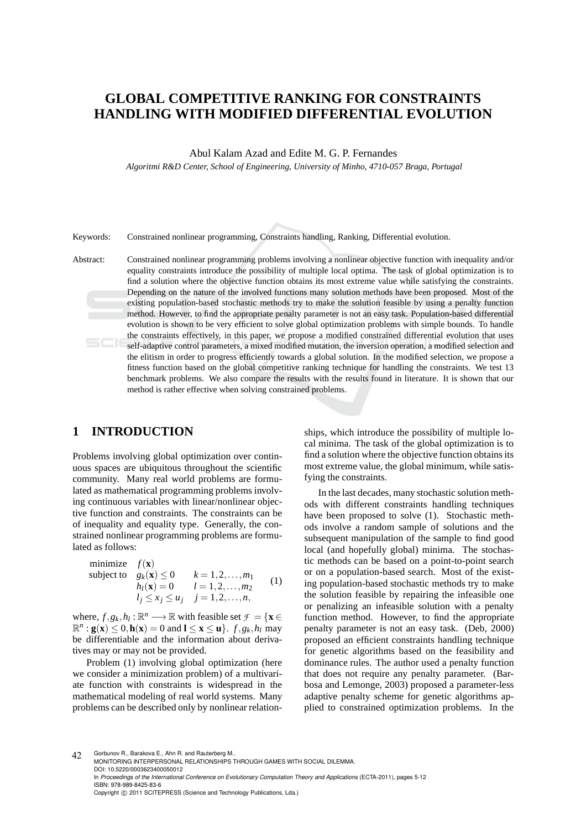# **GLOBAL COMPETITIVE RANKING FOR CONSTRAINTS HANDLING WITH MODIFIED DIFFERENTIAL EVOLUTION**

Abul Kalam Azad and Edite M. G. P. Fernandes

*Algoritmi R&D Center, School of Engineering, University of Minho, 4710-057 Braga, Portugal*

Keywords: Constrained nonlinear programming, Constraints handling, Ranking, Differential evolution.

Abstract: Constrained nonlinear programming problems involving a nonlinear objective function with inequality and/or equality constraints introduce the possibility of multiple local optima. The task of global optimization is to find a solution where the objective function obtains its most extreme value while satisfying the constraints. Depending on the nature of the involved functions many solution methods have been proposed. Most of the existing population-based stochastic methods try to make the solution feasible by using a penalty function method. However, to find the appropriate penalty parameter is not an easy task. Population-based differential evolution is shown to be very efficient to solve global optimization problems with simple bounds. To handle the constraints effectively, in this paper, we propose a modified constrained differential evolution that uses self-adaptive control parameters, a mixed modified mutation, the inversion operation, a modified selection and the elitism in order to progress efficiently towards a global solution. In the modified selection, we propose a fitness function based on the global competitive ranking technique for handling the constraints. We test 13 benchmark problems. We also compare the results with the results found in literature. It is shown that our method is rather effective when solving constrained problems.

## **1 INTRODUCTION**

Problems involving global optimization over continuous spaces are ubiquitous throughout the scientific community. Many real world problems are formulated as mathematical programming problems involving continuous variables with linear/nonlinear objective function and constraints. The constraints can be of inequality and equality type. Generally, the constrained nonlinear programming problems are formulated as follows:

minimize  $f(\mathbf{x})$ subject to  $g_k(\mathbf{x}) \le 0$   $k = 1, 2, ..., m_1$  $h_l(\mathbf{x}) = 0$   $l = 1, 2, ..., m_2$  $l_j \le x_j \le u_j \quad j = 1, 2, ..., n$ (1)

where,  $f, g_k, h_l : \mathbb{R}^n \longrightarrow \mathbb{R}$  with feasible set  $\mathcal{F} = \{ \mathbf{x} \in \mathbb{R}^n : l \in \mathbb{R}^n \}$  $\mathbb{R}^n$ : **g**(**x**)  $\leq 0$ , **h**(**x**) = 0 and **l**  $\leq$  **x**  $\leq$  **u**}. *f*, *g*<sub>*k*</sub>, *h*<sub>*l*</sub> may be differentiable and the information about derivatives may or may not be provided.

Problem (1) involving global optimization (here we consider a minimization problem) of a multivariate function with constraints is widespread in the mathematical modeling of real world systems. Many problems can be described only by nonlinear relationships, which introduce the possibility of multiple local minima. The task of the global optimization is to find a solution where the objective function obtains its most extreme value, the global minimum, while satisfying the constraints.

In the last decades, many stochastic solution methods with different constraints handling techniques have been proposed to solve (1). Stochastic methods involve a random sample of solutions and the subsequent manipulation of the sample to find good local (and hopefully global) minima. The stochastic methods can be based on a point-to-point search or on a population-based search. Most of the existing population-based stochastic methods try to make the solution feasible by repairing the infeasible one or penalizing an infeasible solution with a penalty function method. However, to find the appropriate penalty parameter is not an easy task. (Deb, 2000) proposed an efficient constraints handling technique for genetic algorithms based on the feasibility and dominance rules. The author used a penalty function that does not require any penalty parameter. (Barbosa and Lemonge, 2003) proposed a parameter-less adaptive penalty scheme for genetic algorithms applied to constrained optimization problems. In the

42 Gorbunov R., Barakova E., Ahn R. and Rauterberg M.. MONITORING INTERPERSONAL RELATIONSHIPS THROUGH GAMES WITH SOCIAL DILEMMA. DOI: 10.5220/0003623400050012 In *Proceedings of the International Conference on Evolutionary Computation Theory and Applications* (ECTA-2011), pages 5-12 ISBN: 978-989-8425-83-6 Copyright © 2011 SCITEPRESS (Science and Technology Publications, Lda.)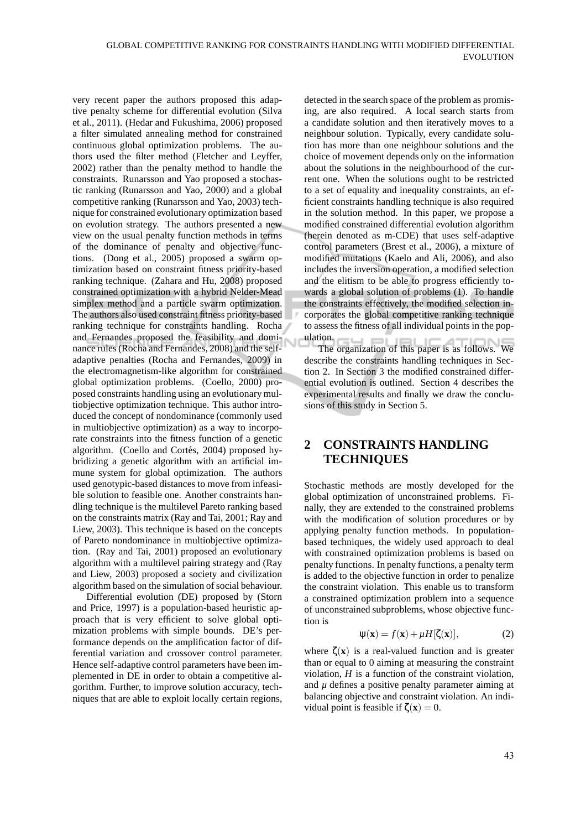very recent paper the authors proposed this adaptive penalty scheme for differential evolution (Silva et al., 2011). (Hedar and Fukushima, 2006) proposed a filter simulated annealing method for constrained continuous global optimization problems. The authors used the filter method (Fletcher and Leyffer, 2002) rather than the penalty method to handle the constraints. Runarsson and Yao proposed a stochastic ranking (Runarsson and Yao, 2000) and a global competitive ranking (Runarsson and Yao, 2003) technique for constrained evolutionary optimization based on evolution strategy. The authors presented a new view on the usual penalty function methods in terms of the dominance of penalty and objective functions. (Dong et al., 2005) proposed a swarm optimization based on constraint fitness priority-based ranking technique. (Zahara and Hu, 2008) proposed constrained optimization with a hybrid Nelder-Mead simplex method and a particle swarm optimization. The authors also used constraint fitness priority-based ranking technique for constraints handling. Rocha and Fernandes proposed the feasibility and dominance rules (Rocha and Fernandes, 2008) and the selfadaptive penalties (Rocha and Fernandes, 2009) in the electromagnetism-like algorithm for constrained global optimization problems. (Coello, 2000) proposed constraints handling using an evolutionary multiobjective optimization technique. This author introduced the concept of nondominance (commonly used in multiobjective optimization) as a way to incorporate constraints into the fitness function of a genetic algorithm. (Coello and Cortés, 2004) proposed hybridizing a genetic algorithm with an artificial immune system for global optimization. The authors used genotypic-based distances to move from infeasible solution to feasible one. Another constraints handling technique is the multilevel Pareto ranking based on the constraints matrix (Ray and Tai, 2001; Ray and Liew, 2003). This technique is based on the concepts of Pareto nondominance in multiobjective optimization. (Ray and Tai, 2001) proposed an evolutionary algorithm with a multilevel pairing strategy and (Ray and Liew, 2003) proposed a society and civilization algorithm based on the simulation of social behaviour.

Differential evolution (DE) proposed by (Storn and Price, 1997) is a population-based heuristic approach that is very efficient to solve global optimization problems with simple bounds. DE's performance depends on the amplification factor of differential variation and crossover control parameter. Hence self-adaptive control parameters have been implemented in DE in order to obtain a competitive algorithm. Further, to improve solution accuracy, techniques that are able to exploit locally certain regions,

detected in the search space of the problem as promising, are also required. A local search starts from a candidate solution and then iteratively moves to a neighbour solution. Typically, every candidate solution has more than one neighbour solutions and the choice of movement depends only on the information about the solutions in the neighbourhood of the current one. When the solutions ought to be restricted to a set of equality and inequality constraints, an efficient constraints handling technique is also required in the solution method. In this paper, we propose a modified constrained differential evolution algorithm (herein denoted as m-CDE) that uses self-adaptive control parameters (Brest et al., 2006), a mixture of modified mutations (Kaelo and Ali, 2006), and also includes the inversion operation, a modified selection and the elitism to be able to progress efficiently towards a global solution of problems (1). To handle the constraints effectively, the modified selection incorporates the global competitive ranking technique to assess the fitness of all individual points in the population.  $= -1$ 

The organization of this paper is as follows. We describe the constraints handling techniques in Section 2. In Section 3 the modified constrained differential evolution is outlined. Section 4 describes the experimental results and finally we draw the conclusions of this study in Section 5.

## **2 CONSTRAINTS HANDLING TECHNIQUES**

Stochastic methods are mostly developed for the global optimization of unconstrained problems. Finally, they are extended to the constrained problems with the modification of solution procedures or by applying penalty function methods. In populationbased techniques, the widely used approach to deal with constrained optimization problems is based on penalty functions. In penalty functions, a penalty term is added to the objective function in order to penalize the constraint violation. This enable us to transform a constrained optimization problem into a sequence of unconstrained subproblems, whose objective function is

$$
\psi(\mathbf{x}) = f(\mathbf{x}) + \mu H[\zeta(\mathbf{x})],\tag{2}
$$

where  $\zeta(\mathbf{x})$  is a real-valued function and is greater than or equal to 0 aiming at measuring the constraint violation, *H* is a function of the constraint violation, and  $\mu$  defines a positive penalty parameter aiming at balancing objective and constraint violation. An individual point is feasible if  $\zeta(\mathbf{x}) = 0$ .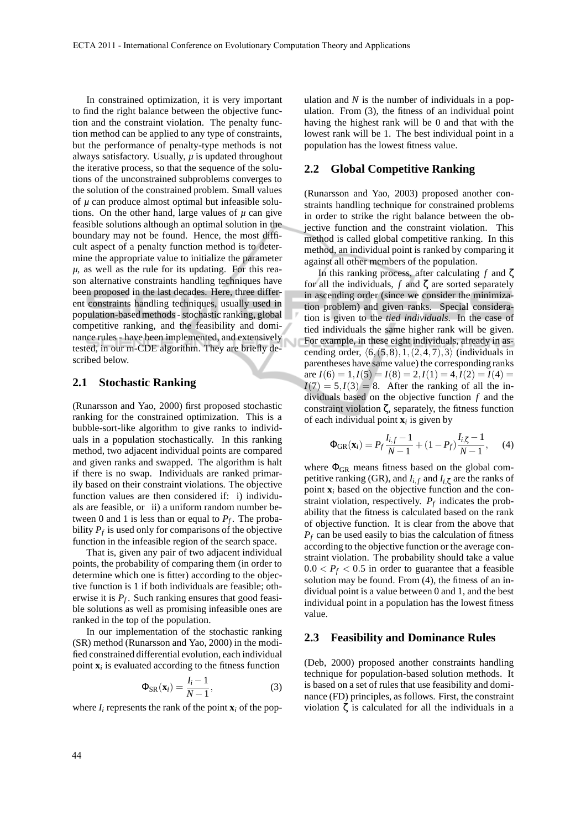In constrained optimization, it is very important to find the right balance between the objective function and the constraint violation. The penalty function method can be applied to any type of constraints, but the performance of penalty-type methods is not always satisfactory. Usually,  $\mu$  is updated throughout the iterative process, so that the sequence of the solutions of the unconstrained subproblems converges to the solution of the constrained problem. Small values of *µ* can produce almost optimal but infeasible solutions. On the other hand, large values of  $\mu$  can give feasible solutions although an optimal solution in the boundary may not be found. Hence, the most difficult aspect of a penalty function method is to determine the appropriate value to initialize the parameter  $\mu$ , as well as the rule for its updating. For this reason alternative constraints handling techniques have been proposed in the last decades. Here, three different constraints handling techniques, usually used in population-based methods - stochastic ranking, global competitive ranking, and the feasibility and dominance rules - have been implemented, and extensively tested, in our m-CDE algorithm. They are briefly described below.

### **2.1 Stochastic Ranking**

(Runarsson and Yao, 2000) first proposed stochastic ranking for the constrained optimization. This is a bubble-sort-like algorithm to give ranks to individuals in a population stochastically. In this ranking method, two adjacent individual points are compared and given ranks and swapped. The algorithm is halt if there is no swap. Individuals are ranked primarily based on their constraint violations. The objective function values are then considered if: i) individuals are feasible, or ii) a uniform random number between 0 and 1 is less than or equal to *P<sup>f</sup>* . The probability  $P_f$  is used only for comparisons of the objective function in the infeasible region of the search space.

That is, given any pair of two adjacent individual points, the probability of comparing them (in order to determine which one is fitter) according to the objective function is 1 if both individuals are feasible; otherwise it is *P<sup>f</sup>* . Such ranking ensures that good feasible solutions as well as promising infeasible ones are ranked in the top of the population.

In our implementation of the stochastic ranking (SR) method (Runarsson and Yao, 2000) in the modified constrained differential evolution, each individual point  $\mathbf{x}_i$  is evaluated according to the fitness function

$$
\Phi_{\rm SR}(\mathbf{x}_i) = \frac{I_i - 1}{N - 1},\tag{3}
$$

where  $I_i$  represents the rank of the point  $\mathbf{x}_i$  of the pop-

ulation and *N* is the number of individuals in a population. From (3), the fitness of an individual point having the highest rank will be 0 and that with the lowest rank will be 1. The best individual point in a population has the lowest fitness value.

#### **2.2 Global Competitive Ranking**

(Runarsson and Yao, 2003) proposed another constraints handling technique for constrained problems in order to strike the right balance between the objective function and the constraint violation. This method is called global competitive ranking. In this method, an individual point is ranked by comparing it against all other members of the population.

In this ranking process, after calculating *f* and ζ for all the individuals,  $f$  and  $\zeta$  are sorted separately in ascending order (since we consider the minimization problem) and given ranks. Special consideration is given to the *tied individuals*. In the case of tied individuals the same higher rank will be given. For example, in these eight individuals, already in ascending order,  $\langle 6, (5,8), 1, (2,4,7), 3 \rangle$  (individuals in parentheses have same value) the corresponding ranks are  $I(6) = 1, I(5) = I(8) = 2, I(1) = 4, I(2) = I(4) =$  $I(7) = 5, I(3) = 8$ . After the ranking of all the individuals based on the objective function *f* and the constraint violation ζ, separately, the fitness function of each individual point **x***<sup>i</sup>* is given by

$$
\Phi_{GR}(\mathbf{x}_i) = P_f \frac{I_{i,f} - 1}{N - 1} + (1 - P_f) \frac{I_{i,\zeta} - 1}{N - 1}, \quad (4)
$$

where  $\Phi_{GR}$  means fitness based on the global competitive ranking (GR), and  $I_{i,f}$  and  $I_{i,\zeta}$  are the ranks of point  $\mathbf{x}_i$  based on the objective function and the constraint violation, respectively. *P<sup>f</sup>* indicates the probability that the fitness is calculated based on the rank of objective function. It is clear from the above that  $P_f$  can be used easily to bias the calculation of fitness according to the objective function or the average constraint violation. The probability should take a value  $0.0 < P_f < 0.5$  in order to guarantee that a feasible solution may be found. From (4), the fitness of an individual point is a value between 0 and 1, and the best individual point in a population has the lowest fitness value.

#### **2.3 Feasibility and Dominance Rules**

(Deb, 2000) proposed another constraints handling technique for population-based solution methods. It is based on a set of rules that use feasibility and dominance (FD) principles, as follows. First, the constraint violation ζ is calculated for all the individuals in a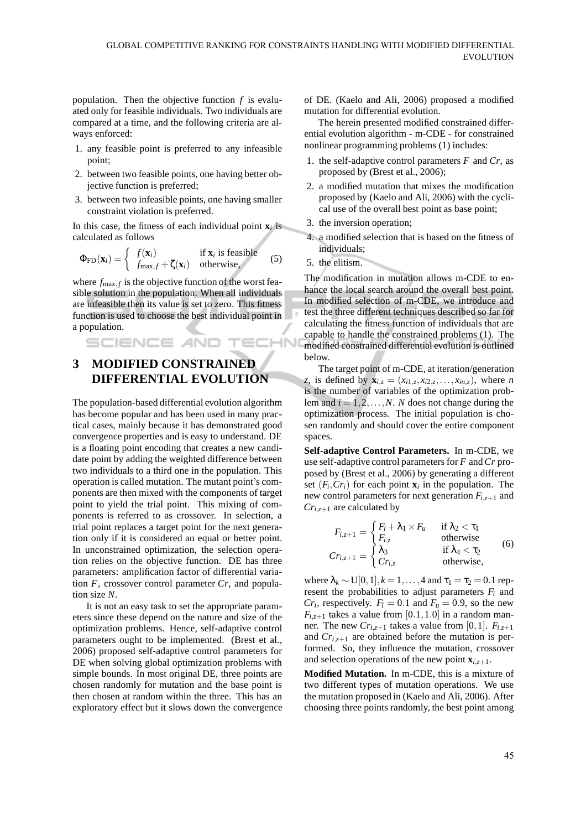population. Then the objective function *f* is evaluated only for feasible individuals. Two individuals are compared at a time, and the following criteria are always enforced:

- 1. any feasible point is preferred to any infeasible point;
- 2. between two feasible points, one having better objective function is preferred;
- 3. between two infeasible points, one having smaller constraint violation is preferred.

In this case, the fitness of each individual point  $\mathbf{x}_i$  is calculated as follows

$$
\Phi_{\rm FD}(\mathbf{x}_i) = \begin{cases} f(\mathbf{x}_i) & \text{if } \mathbf{x}_i \text{ is feasible} \\ f_{\max,f} + \zeta(\mathbf{x}_i) & \text{otherwise,} \end{cases}
$$
(5)

where  $f_{\text{max},f}$  is the objective function of the worst feasible solution in the population. When all individuals are infeasible then its value is set to zero. This fitness function is used to choose the best individual point in a population.

**SCIENCE AND** 

# **3 MODIFIED CONSTRAINED DIFFERENTIAL EVOLUTION**

The population-based differential evolution algorithm has become popular and has been used in many practical cases, mainly because it has demonstrated good convergence properties and is easy to understand. DE is a floating point encoding that creates a new candidate point by adding the weighted difference between two individuals to a third one in the population. This operation is called mutation. The mutant point's components are then mixed with the components of target point to yield the trial point. This mixing of components is referred to as crossover. In selection, a trial point replaces a target point for the next generation only if it is considered an equal or better point. In unconstrained optimization, the selection operation relies on the objective function. DE has three parameters: amplification factor of differential variation *F*, crossover control parameter *Cr*, and population size *N*.

It is not an easy task to set the appropriate parameters since these depend on the nature and size of the optimization problems. Hence, self-adaptive control parameters ought to be implemented. (Brest et al., 2006) proposed self-adaptive control parameters for DE when solving global optimization problems with simple bounds. In most original DE, three points are chosen randomly for mutation and the base point is then chosen at random within the three. This has an exploratory effect but it slows down the convergence of DE. (Kaelo and Ali, 2006) proposed a modified mutation for differential evolution.

The herein presented modified constrained differential evolution algorithm - m-CDE - for constrained nonlinear programming problems (1) includes:

- 1. the self-adaptive control parameters *F* and *Cr*, as proposed by (Brest et al., 2006);
- 2. a modified mutation that mixes the modification proposed by (Kaelo and Ali, 2006) with the cyclical use of the overall best point as base point;
- 3. the inversion operation;
- 4. a modified selection that is based on the fitness of individuals;
- 5. the elitism.

**IHN** 

The modification in mutation allows m-CDE to enhance the local search around the overall best point. In modified selection of m-CDE, we introduce and test the three different techniques described so far for calculating the fitness function of individuals that are capable to handle the constrained problems (1). The modified constrained differential evolution is outlined below.

The target point of m-CDE, at iteration/generation *z*, is defined by  $\mathbf{x}_{i,z} = (x_{i1,z}, x_{i2,z}, \dots, x_{in,z})$ , where *n* is the number of variables of the optimization problem and  $i = 1, 2, ..., N$ . *N* does not change during the optimization process. The initial population is chosen randomly and should cover the entire component spaces.

**Self-adaptive Control Parameters.** In m-CDE, we use self-adaptive control parameters for *F* and*Cr* proposed by (Brest et al., 2006) by generating a different set  $(F_i, Cr_i)$  for each point  $\mathbf{x}_i$  in the population. The new control parameters for next generation *Fi*,*z*+<sup>1</sup> and  $Cr_{i,z+1}$  are calculated by

$$
F_{i,z+1} = \begin{cases} F_l + \lambda_1 \times F_u & \text{if } \lambda_2 < \tau_1 \\ F_{i,z} & \text{otherwise} \\ \lambda_3 & \text{if } \lambda_4 < \tau_2 \\ Cr_{i,z} & \text{otherwise,} \end{cases}
$$
 (6)

where  $\lambda_k \sim U[0,1], k = 1, \ldots, 4$  and  $\tau_1 = \tau_2 = 0.1$  represent the probabilities to adjust parameters  $F_i$  and *Cr*<sup>*i*</sup>, respectively.  $F_l = 0.1$  and  $F_u = 0.9$ , so the new  $F_{i,z+1}$  takes a value from [0.1, 1.0] in a random manner. The new  $Cr_{i,z+1}$  takes a value from [0,1].  $F_{i,z+1}$ and  $Cr_{i,z+1}$  are obtained before the mutation is performed. So, they influence the mutation, crossover and selection operations of the new point  $\mathbf{x}_{i,z+1}$ .

**Modified Mutation.** In m-CDE, this is a mixture of two different types of mutation operations. We use the mutation proposed in (Kaelo and Ali, 2006). After choosing three points randomly, the best point among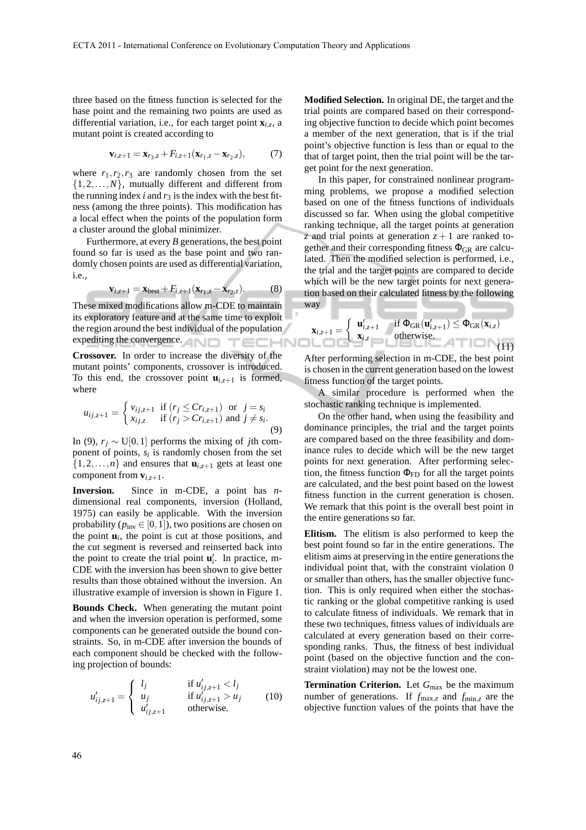three based on the fitness function is selected for the base point and the remaining two points are used as differential variation, i.e., for each target point **x***i*,*<sup>z</sup>* , a mutant point is created according to

$$
\mathbf{v}_{i,z+1} = \mathbf{x}_{r_3,z} + F_{i,z+1}(\mathbf{x}_{r_1,z} - \mathbf{x}_{r_2,z}),
$$
(7)

where  $r_1, r_2, r_3$  are randomly chosen from the set  $\{1,2,\ldots,N\}$ , mutually different and different from the running index  $i$  and  $r_3$  is the index with the best fitness (among the three points). This modification has a local effect when the points of the population form a cluster around the global minimizer.

Furthermore, at every *B* generations, the best point found so far is used as the base point and two randomly chosen points are used as differential variation, i.e.,

$$
\mathbf{v}_{i,z+1} = \mathbf{x}_{best} + F_{i,z+1}(\mathbf{x}_{r_1,z} - \mathbf{x}_{r_2,z}).
$$
 (8)

These mixed modifications allow m-CDE to maintain its exploratory feature and at the same time to exploit the region around the best individual of the population expediting the convergence.  $\mathbf{AND}$   $\top \mathbf{\equiv} \mathbf{\equiv} \mathbf{H} \mathbf{N} \mathbf{\equiv}$ 

**Crossover.** In order to increase the diversity of the mutant points' components, crossover is introduced. To this end, the crossover point  $\mathbf{u}_{i,z+1}$  is formed, where

$$
u_{ij,z+1} = \begin{cases} v_{ij,z+1} & \text{if } (r_j \leq Cr_{i,z+1}) \text{ or } j = s_i \\ x_{ij,z} & \text{if } (r_j > Cr_{i,z+1}) \text{ and } j \neq s_i. \end{cases}
$$
(9)

In (9),  $r_i$  ∼ U[0,1] performs the mixing of *j*th component of points,  $s_i$  is randomly chosen from the set  $\{1,2,\ldots,n\}$  and ensures that  $\mathbf{u}_{i,z+1}$  gets at least one component from  $\mathbf{v}_{i,z+1}$ .

**Inversion.** Since in m-CDE, a point has *n*dimensional real components, inversion (Holland, 1975) can easily be applicable. With the inversion probability ( $p_{\text{inv}} \in [0,1]$ ), two positions are chosen on the point  $\mathbf{u}_i$ , the point is cut at those positions, and the cut segment is reversed and reinserted back into the point to create the trial point  $\mathbf{u}'_i$ . In practice, m-CDE with the inversion has been shown to give better results than those obtained without the inversion. An illustrative example of inversion is shown in Figure 1.

**Bounds Check.** When generating the mutant point and when the inversion operation is performed, some components can be generated outside the bound constraints. So, in m-CDE after inversion the bounds of each component should be checked with the following projection of bounds:

$$
u'_{ij,z+1} = \begin{cases} l_j & \text{if } u'_{ij,z+1} < l_j \\ u_j & \text{if } u'_{ij,z+1} > u_j \\ u'_{ij,z+1} & \text{otherwise.} \end{cases} \tag{10}
$$

**Modified Selection.** In original DE, the target and the trial points are compared based on their corresponding objective function to decide which point becomes a member of the next generation, that is if the trial point's objective function is less than or equal to the that of target point, then the trial point will be the target point for the next generation.

In this paper, for constrained nonlinear programming problems, we propose a modified selection based on one of the fitness functions of individuals discussed so far. When using the global competitive ranking technique, all the target points at generation *z* and trial points at generation  $z + 1$  are ranked together and their corresponding fitness  $\Phi_{GR}$  are calculated. Then the modified selection is performed, i.e., the trial and the target points are compared to decide which will be the new target points for next generation based on their calculated fitness by the following way

$$
\mathbf{x}_{i,z+1} = \left\{ \begin{array}{ll} \mathbf{u}'_{i,z+1} & \text{if } \Phi_{\text{GR}}(\mathbf{u}'_{i,z+1}) \le \Phi_{\text{GR}}(\mathbf{x}_{i,z})\\ \mathbf{x}_{i,z} & \text{otherwise.} \end{array} \right. \tag{11}
$$

After performing selection in m-CDE, the best point is chosen in the current generation based on the lowest fitness function of the target points.

A similar procedure is performed when the stochastic ranking technique is implemented.

On the other hand, when using the feasibility and dominance principles, the trial and the target points are compared based on the three feasibility and dominance rules to decide which will be the new target points for next generation. After performing selection, the fitness function  $\Phi_{FD}$  for all the target points are calculated, and the best point based on the lowest fitness function in the current generation is chosen. We remark that this point is the overall best point in the entire generations so far.

**Elitism.** The elitism is also performed to keep the best point found so far in the entire generations. The elitism aims at preserving in the entire generations the individual point that, with the constraint violation 0 or smaller than others, has the smaller objective function. This is only required when either the stochastic ranking or the global competitive ranking is used to calculate fitness of individuals. We remark that in these two techniques, fitness values of individuals are calculated at every generation based on their corresponding ranks. Thus, the fitness of best individual point (based on the objective function and the constraint violation) may not be the lowest one.

**Termination Criterion.** Let  $G_{\text{max}}$  be the maximum number of generations. If *f*max,*<sup>z</sup>* and *f*min,*<sup>z</sup>* are the objective function values of the points that have the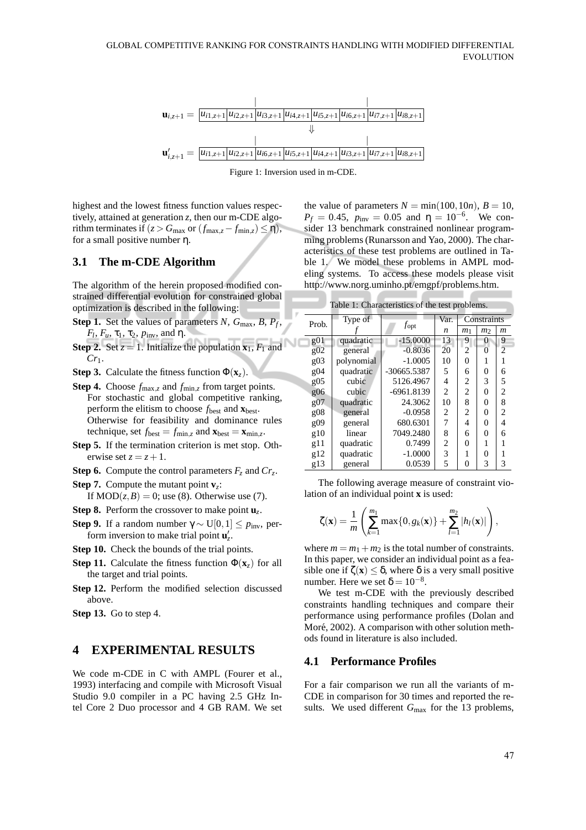

Figure 1: Inversion used in m-CDE.

highest and the lowest fitness function values respectively, attained at generation *z*, then our m-CDE algorithm terminates if  $(z > G_{\text{max}} \text{ or } (f_{\text{max},z} - f_{\text{min},z}) \leq \eta),$ for a small positive number η.

#### **3.1 The m-CDE Algorithm**

The algorithm of the herein proposed modified constrained differential evolution for constrained global optimization is described in the following:

- **Step 1.** Set the values of parameters *N*, *G*max, *B*, *P<sup>f</sup>* , *F*<sub>*l*</sub>, *F*<sub>*u*</sub>, τ<sub>1</sub>, τ<sub>2</sub>, *p*<sub>inv</sub>, and η.
- **Step 2.** Set  $z = 1$ . Initialize the population  $\mathbf{x}_1$ ,  $F_1$  and *Cr*1.

**Step 3.** Calculate the fitness function  $\Phi(\mathbf{x}_z)$ .

- **Step 4.** Choose  $f_{\text{max},z}$  and  $f_{\text{min},z}$  from target points. For stochastic and global competitive ranking, perform the elitism to choose  $f_{\text{best}}$  and  $\mathbf{x}_{\text{best}}$ . Otherwise for feasibility and dominance rules technique, set  $f_{\text{best}} = f_{\min,z}$  and  $\mathbf{x}_{\text{best}} = \mathbf{x}_{\min,z}$ .
- **Step 5.** If the termination criterion is met stop. Otherwise set  $z = z + 1$ .
- **Step 6.** Compute the control parameters  $F_z$  and  $Cr_z$ .
- **Step 7.** Compute the mutant point  $\mathbf{v}_z$ :

If  $MOD(z, B) = 0$ ; use (8). Otherwise use (7).

- **Step 8.** Perform the crossover to make point  $\mathbf{u}_z$ .
- **Step 9.** If a random number  $\gamma \sim U[0,1] \leq p_{\text{inv}}$ , perform inversion to make trial point  $\mathbf{u}'_z$ .
- **Step 10.** Check the bounds of the trial points.
- **Step 11.** Calculate the fitness function  $\Phi(\mathbf{x}_7)$  for all the target and trial points.
- **Step 12.** Perform the modified selection discussed above.

**Step 13.** Go to step 4.

### **4 EXPERIMENTAL RESULTS**

We code m-CDE in C with AMPL (Fourer et al., 1993) interfacing and compile with Microsoft Visual Studio 9.0 compiler in a PC having 2.5 GHz Intel Core 2 Duo processor and 4 GB RAM. We set the value of parameters  $N = \min(100, 10n)$ ,  $B = 10$ ,  $P_f = 0.45$ ,  $p_{\text{inv}} = 0.05$  and  $η = 10^{-6}$ . We consider 13 benchmark constrained nonlinear programming problems (Runarsson and Yao, 2000). The characteristics of these test problems are outlined in Table 1. We model these problems in AMPL modeling systems. To access these models please visit http://www.norg.uminho.pt/emgpf/problems.htm.

| Table 1: Characteristics of the test problems. |            |              |                |                |                |                |  |  |
|------------------------------------------------|------------|--------------|----------------|----------------|----------------|----------------|--|--|
| Prob.                                          | Type of    |              | Var.           | Constraints    |                |                |  |  |
|                                                |            | $f_{opt}$    | n              | m <sub>1</sub> | m <sub>2</sub> | m              |  |  |
| g(0)                                           | quadratic  | $-15.0000$   | 13             | 9              | 0              | 9              |  |  |
| g <sub>02</sub>                                | general    | $-0.8036$    | 20             | 2              | 0              | 2              |  |  |
| g <sub>03</sub>                                | polynomial | $-1.0005$    | 10             | 0              | 1              |                |  |  |
| g04                                            | quadratic  | -30665.5387  | 5              | 6              | 0              | 6              |  |  |
| g05                                            | cubic      | 5126.4967    | 4              | 2              | 3              | 5              |  |  |
| g06                                            | cubic      | $-6961.8139$ | $\overline{2}$ | $\overline{c}$ | 0              | $\overline{c}$ |  |  |
| g07                                            | quadratic  | 24.3062      | 10             | 8              | 0              | 8              |  |  |
| g08                                            | general    | $-0.0958$    | 2              | 2              | 0              | $\overline{c}$ |  |  |
| g <sub>09</sub>                                | general    | 680.6301     | 7              | 4              | 0              | 4              |  |  |
| g10                                            | linear     | 7049.2480    | 8              | 6              | 0              | 6              |  |  |
| g11                                            | quadratic  | 0.7499       | $\overline{2}$ | 0              | 1              |                |  |  |
| g12                                            | quadratic  | $-1.0000$    | 3              | 1              | 0              |                |  |  |
| g13                                            | general    | 0.0539       | 5              | 0              | 3              | 3              |  |  |

The following average measure of constraint violation of an individual point **x** is used:

$$
\zeta(\mathbf{x}) = \frac{1}{m} \left( \sum_{k=1}^{m_1} \max\{0, g_k(\mathbf{x})\} + \sum_{l=1}^{m_2} |h_l(\mathbf{x})| \right),
$$

where  $m = m_1 + m_2$  is the total number of constraints. In this paper, we consider an individual point as a feasible one if  $\zeta(\mathbf{x}) \leq \delta$ , where  $\delta$  is a very small positive number. Here we set  $\delta = 10^{-8}$ .

We test m-CDE with the previously described constraints handling techniques and compare their performance using performance profiles (Dolan and Moré, 2002). A comparison with other solution methods found in literature is also included.

#### **4.1 Performance Profiles**

For a fair comparison we run all the variants of m-CDE in comparison for 30 times and reported the results. We used different  $G_{\text{max}}$  for the 13 problems,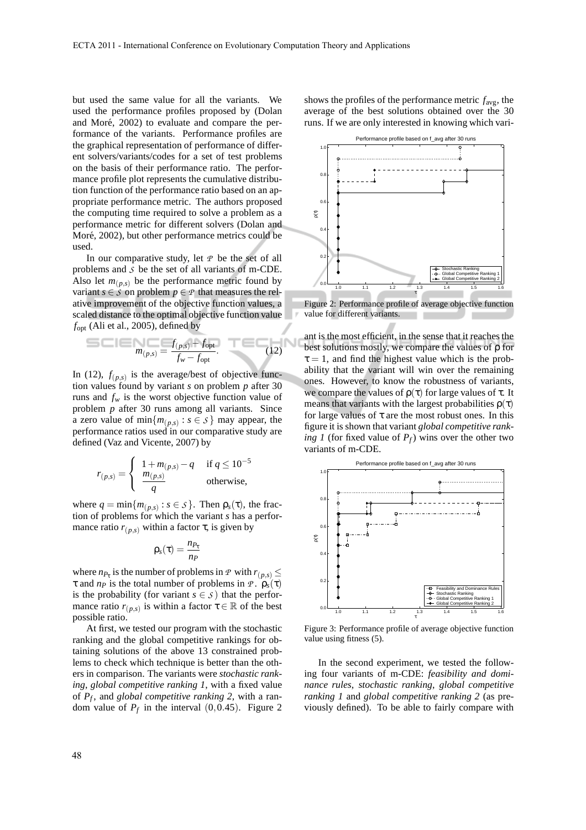but used the same value for all the variants. We used the performance profiles proposed by (Dolan and Moré, 2002) to evaluate and compare the performance of the variants. Performance profiles are the graphical representation of performance of different solvers/variants/codes for a set of test problems on the basis of their performance ratio. The performance profile plot represents the cumulative distribution function of the performance ratio based on an appropriate performance metric. The authors proposed the computing time required to solve a problem as a performance metric for different solvers (Dolan and Moré, 2002), but other performance metrics could be used.

In our comparative study, let *P* be the set of all problems and *S* be the set of all variants of m-CDE. Also let  $m_{(p,s)}$  be the performance metric found by variant *s*  $\in$  *S* on problem *p*  $\in$  *P* that measures the relative improvement of the objective function values, a scaled distance to the optimal objective function value *f*opt (Ali et al., 2005), defined by

$$
m_{(p,s)} = \frac{f_{(p,s)} - f_{\text{opt}}}{f_w - f_{\text{opt}}}.
$$
 (12)

In (12),  $f_{(p,s)}$  is the average/best of objective function values found by variant *s* on problem *p* after 30 runs and  $f_w$  is the worst objective function value of problem *p* after 30 runs among all variants. Since a zero value of  $\min\{m_{(p,s)} : s \in S\}$  may appear, the performance ratios used in our comparative study are defined (Vaz and Vicente, 2007) by

$$
r_{(p,s)} = \begin{cases} 1 + m_{(p,s)} - q & \text{if } q \le 10^{-5} \\ \frac{m_{(p,s)}}{q} & \text{otherwise,} \end{cases}
$$

where  $q = \min\{m_{(p,s)} : s \in S\}$ . Then  $\rho_s(\tau)$ , the fraction of problems for which the variant *s* has a performance ratio  $r_{(p,s)}$  within a factor  $\tau$ , is given by

$$
\rho_s(\tau)=\frac{n_{P_\tau}}{n_P}
$$

where  $n_{P_{\tau}}$  is the number of problems in  $\mathcal P$  with  $r_{(p,s)} \leq$ τ and *n<sup>P</sup>* is the total number of problems in *P* . ρ*s*(τ) is the probability (for variant  $s \in S$ ) that the performance ratio  $r_{(p,s)}$  is within a factor  $\tau \in \mathbb{R}$  of the best possible ratio.

At first, we tested our program with the stochastic ranking and the global competitive rankings for obtaining solutions of the above 13 constrained problems to check which technique is better than the others in comparison. The variants were *stochastic ranking*, *global competitive ranking 1*, with a fixed value of *P<sup>f</sup>* , and *global competitive ranking 2*, with a random value of  $P_f$  in the interval  $(0,0.45)$ . Figure 2

shows the profiles of the performance metric  $f_{\text{avg}}$ , the average of the best solutions obtained over the 30 runs. If we are only interested in knowing which vari-



Figure 2: Performance profile of average objective function value for different variants.

ant is the most efficient, in the sense that it reaches the best solutions mostly, we compare the values of ρ for  $\tau = 1$ , and find the highest value which is the probability that the variant will win over the remaining ones. However, to know the robustness of variants, we compare the values of  $\rho(\tau)$  for large values of  $\tau$ . It means that variants with the largest probabilities  $\rho(\tau)$ for large values of  $\tau$  are the most robust ones. In this figure it is shown that variant *global competitive ranking 1* (for fixed value of  $P_f$ ) wins over the other two variants of m-CDE.



Figure 3: Performance profile of average objective function value using fitness (5).

In the second experiment, we tested the following four variants of m-CDE: *feasibility and dominance rules*, *stochastic ranking*, *global competitive ranking 1* and *global competitive ranking 2* (as previously defined). To be able to fairly compare with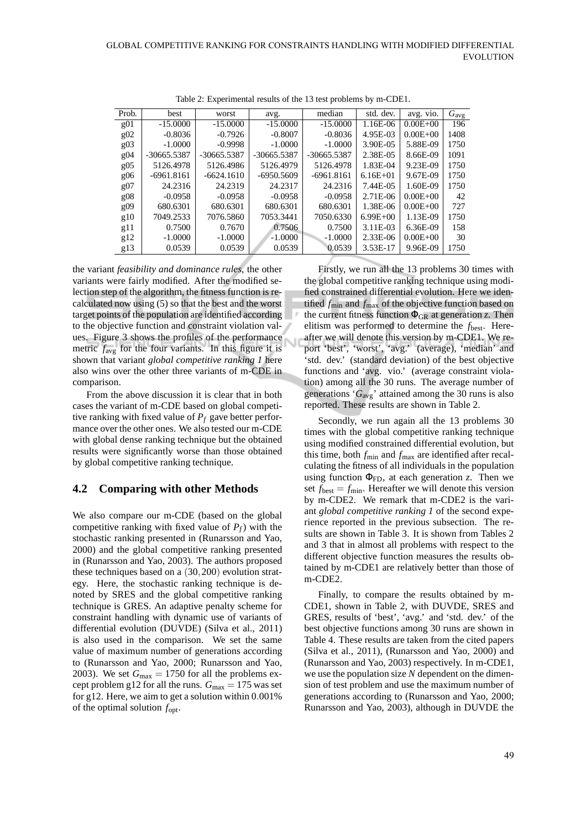| Prob.           | best         | worst         | avg.         | median        | std. dev.    | avg. vio.    | $G_{\rm avg}$ |
|-----------------|--------------|---------------|--------------|---------------|--------------|--------------|---------------|
| g(0)            | $-15.0000$   | $-15,0000$    | $-15.0000$   | $-15.0000$    | 1.16E-06     | $0.00E + 00$ | 196           |
| $g_{02}$        | $-0.8036$    | $-0.7926$     | $-0.8007$    | $-0.8036$     | 4.95E-03     | $0.00E + 00$ | 1408          |
| g <sub>03</sub> | $-1.0000$    | $-0.9998$     | $-1.0000$    | $-1.0000$     | 3.90E-05     | 5.88E-09     | 1750          |
| g04             | -30665.5387  | $-30665.5387$ | -30665.5387  | $-30665.5387$ | 2.38E-05     | 8.66E-09     | 1091          |
| g(05)           | 5126.4978    | 5126.4986     | 5126.4979    | 5126.4978     | 1.83E-04     | 9.23E-09     | 1750          |
| g06             | $-6961.8161$ | $-6624.1610$  | $-6950.5609$ | $-6961.8161$  | $6.16E + 01$ | 9.67E-09     | 1750          |
| g07             | 24.2316      | 24.2319       | 24.2317      | 24.2316       | 7.44E-05     | 1.60E-09     | 1750          |
| g08             | $-0.0958$    | $-0.0958$     | $-0.0958$    | $-0.0958$     | 2.71E-06     | $0.00E + 00$ | 42            |
| g <sub>09</sub> | 680.6301     | 680.6301      | 680.6301     | 680.6301      | 1.38E-06     | $0.00E + 00$ | 727           |
| g10             | 7049.2533    | 7076.5860     | 7053.3441    | 7050.6330     | $6.99E + 00$ | 1.13E-09     | 1750          |
| g11             | 0.7500       | 0.7670        | 0.7506       | 0.7500        | 3.11E-03     | 6.36E-09     | 158           |
| g12             | $-1.0000$    | $-1.0000$     | $-1.0000$    | $-1.0000$     | 2.33E-06     | $0.00E + 00$ | 30            |
| g13             | 0.0539       | 0.0539        | 0.0539       | 0.0539        | 3.53E-17     | 9.96E-09     | 1750          |

Table 2: Experimental results of the 13 test problems by m-CDE1.

the variant *feasibility and dominance rules*, the other variants were fairly modified. After the modified selection step of the algorithm, the fitness function is recalculated now using (5) so that the best and the worst target points of the population are identified according to the objective function and constraint violation values. Figure 3 shows the profiles of the performance metric *f*avg for the four variants. In this figure it is shown that variant *global competitive ranking 1* here also wins over the other three variants of m-CDE in comparison.

From the above discussion it is clear that in both cases the variant of m-CDE based on global competitive ranking with fixed value of  $P_f$  gave better performance over the other ones. We also tested our m-CDE with global dense ranking technique but the obtained results were significantly worse than those obtained by global competitive ranking technique.

#### **4.2 Comparing with other Methods**

We also compare our m-CDE (based on the global competitive ranking with fixed value of  $P_f$ ) with the stochastic ranking presented in (Runarsson and Yao, 2000) and the global competitive ranking presented in (Runarsson and Yao, 2003). The authors proposed these techniques based on a (30,200) evolution strategy. Here, the stochastic ranking technique is denoted by SRES and the global competitive ranking technique is GRES. An adaptive penalty scheme for constraint handling with dynamic use of variants of differential evolution (DUVDE) (Silva et al., 2011) is also used in the comparison. We set the same value of maximum number of generations according to (Runarsson and Yao, 2000; Runarsson and Yao, 2003). We set  $G_{\text{max}} = 1750$  for all the problems except problem g12 for all the runs.  $G_{\text{max}} = 175$  was set for g12. Here, we aim to get a solution within 0.001% of the optimal solution *f*opt.

Firstly, we run all the 13 problems 30 times with the global competitive ranking technique using modified constrained differential evolution. Here we identified *f*min and *f*max of the objective function based on the current fitness function  $\Phi_{GR}$  at generation *z*. Then elitism was performed to determine the *f*best. Hereafter we will denote this version by m-CDE1. We report 'best', 'worst', 'avg.' (average), 'median' and 'std. dev.' (standard deviation) of the best objective functions and 'avg. vio.' (average constraint violation) among all the 30 runs. The average number of generations ' $G_{\text{avg}}$ ' attained among the 30 runs is also reported. These results are shown in Table 2.

Secondly, we run again all the 13 problems 30 times with the global competitive ranking technique using modified constrained differential evolution, but this time, both *f*min and *f*max are identified after recalculating the fitness of all individuals in the population using function  $\Phi_{FD}$ , at each generation *z*. Then we set  $f_{\text{best}} = f_{\text{min}}$ . Hereafter we will denote this version by m-CDE2. We remark that m-CDE2 is the variant *global competitive ranking 1* of the second experience reported in the previous subsection. The results are shown in Table 3. It is shown from Tables 2 and 3 that in almost all problems with respect to the different objective function measures the results obtained by m-CDE1 are relatively better than those of m-CDE2.

Finally, to compare the results obtained by m-CDE1, shown in Table 2, with DUVDE, SRES and GRES, results of 'best', 'avg.' and 'std. dev.' of the best objective functions among 30 runs are shown in Table 4. These results are taken from the cited papers (Silva et al., 2011), (Runarsson and Yao, 2000) and (Runarsson and Yao, 2003) respectively. In m-CDE1, we use the population size *N* dependent on the dimension of test problem and use the maximum number of generations according to (Runarsson and Yao, 2000; Runarsson and Yao, 2003), although in DUVDE the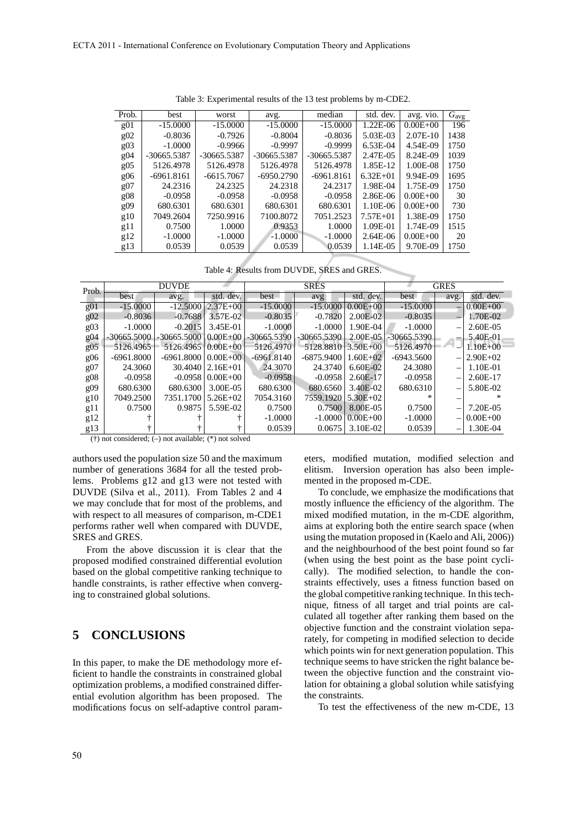| Prob.           | best         | worst        | avg.         | median        | std. dev.    | avg. vio.    | $G_{\rm avg}$ |
|-----------------|--------------|--------------|--------------|---------------|--------------|--------------|---------------|
| g <sub>01</sub> | $-15.0000$   | $-15,0000$   | $-15,0000$   | $-15,0000$    | $1.22E-06$   | $0.00E + 00$ | 196           |
| g <sub>02</sub> | $-0.8036$    | $-0.7926$    | $-0.8004$    | $-0.8036$     | 5.03E-03     | $2.07E-10$   | 1438          |
| g <sub>03</sub> | $-1.0000$    | $-0.9966$    | $-0.9997$    | $-0.9999$     | $6.53E-04$   | 4.54E-09     | 1750          |
| g04             | -30665.5387  | -30665.5387  | -30665.5387  | $-30665.5387$ | 2.47E-05     | 8.24E-09     | 1039          |
| g05             | 5126.4978    | 5126.4978    | 5126.4978    | 5126.4978     | 1.85E-12     | 1.00E-08     | 1750          |
| g06             | $-6961.8161$ | $-6615.7067$ | $-6950.2790$ | $-6961.8161$  | $6.32E + 01$ | 9.94E-09     | 1695          |
| g07             | 24.2316      | 24.2325      | 24.2318      | 24.2317       | 1.98E-04     | 1.75E-09     | 1750          |
| g08             | $-0.0958$    | $-0.0958$    | $-0.0958$    | $-0.0958$     | 2.86E-06     | $0.00E + 00$ | 30            |
| g(0)            | 680.6301     | 680.6301     | 680.6301     | 680.6301      | 1.10E-06     | $0.00E + 00$ | 730           |
| g10             | 7049.2604    | 7250.9916    | 7100.8072    | 7051.2523     | $7.57E + 01$ | 1.38E-09     | 1750          |
| g11             | 0.7500       | 1.0000       | 0.9353       | 1.0000        | 1.09E-01     | 1.74E-09     | 1515          |
| g12             | $-1.0000$    | $-1.0000$    | $-1.0000$    | $-1.0000$     | 2.64E-06     | $0.00E + 00$ | 20            |
| g13             | 0.0539       | 0.0539       | 0.0539       | 0.0539        | 1.14E-05     | 9.70E-09     | 1750          |
|                 |              |              |              |               |              |              |               |

Table 3: Experimental results of the 13 test problems by m-CDE2.

Table 4: Results from DUVDE, SRES and GRES.

| Prob.           | <b>DUVDE</b>  |                           |                         | <b>SRES</b>  |                             |                       | <b>GRES</b>   |      |              |
|-----------------|---------------|---------------------------|-------------------------|--------------|-----------------------------|-----------------------|---------------|------|--------------|
|                 | best          | avg.                      | std. dev.               | best         | avg                         | std. dev.             | best          | avg. | std. dev.    |
| g(01)           | $-15,0000$    |                           | $-12.5000$   $2.37E+00$ | $-15.0000$   |                             | $-15.000010.00E + 00$ | $-15.0000$    |      | $0.00E + 00$ |
| g02             | $-0.8036$     | $-0.7688$                 | 3.57E-02                | $-0.8035$    | $-0.7820$                   | $2.00E-02$            | $-0.8035$     |      | 1.70E-02     |
| g <sub>03</sub> | $-1.0000$     | $-0.2015$                 | 3.45E-01                | $-1.0000$    | $-1.0000$                   | 1.90E-04              | $-1.0000$     |      | 2.60E-05     |
| g04             | $-30665.5000$ | $-30665.5000$             | $0.00E + 00$            |              | $-30665.5390$ $-30665.5390$ | 2.00E-05              | $-30665.5390$ |      | 5.40E-01     |
| g05             | 5126.4965     | 5126.4965                 | $0.00E + 00$            | 5126.4970    | 5128.8810 3.50E+00          |                       | 5126.4970     |      | $1.10E + 00$ |
| g06             | $-6961.8000$  | $-6961.8000$   $0.00E+00$ |                         | $-6961.8140$ | $-6875.9400$                | $1.60E + 02$          | $-6943.5600$  |      | $2.90E + 02$ |
| g07             | 24.3060       |                           | $30.4040$   2.16E+01    | 24.3070      | 24.3740                     | $6.60E-02$            | 24.3080       |      | 1.10E-01     |
| g08             | $-0.0958$     |                           | $-0.0958$ 0.00E $+00$   | $-0.0958$    | $-0.0958$                   | $2.60E-17$            | $-0.0958$     |      | 2.60E-17     |
| g(0)            | 680.6300      | 680.6300                  | 3.00E-05                | 680.6300     | 680.6560                    | 3.40E-02              | 680.6310      |      | 5.80E-02     |
| g10             | 7049.2500     | 7351.1700                 | $5.26E+02$              | 7054.3160    | 7559.1920                   | $5.30E + 02$          | ∗             |      |              |
| g11             | 0.7500        | 0.9875                    | 5.59E-02                | 0.7500       | 0.7500                      | 8.00E-05              | 0.7500        |      | 7.20E-05     |
| g12             |               |                           |                         | $-1.0000$    |                             | $-1.000010.00E + 00$  | $-1.0000$     |      | $0.00E + 00$ |
| g13             |               |                           |                         | 0.0539       | 0.0675                      | 3.10E-02              | 0.0539        |      | 1.30E-04     |

(†) not considered; (–) not available; (\*) not solved

authors used the population size 50 and the maximum number of generations 3684 for all the tested problems. Problems g12 and g13 were not tested with DUVDE (Silva et al., 2011). From Tables 2 and 4 we may conclude that for most of the problems, and with respect to all measures of comparison, m-CDE1 performs rather well when compared with DUVDE, SRES and GRES.

From the above discussion it is clear that the proposed modified constrained differential evolution based on the global competitive ranking technique to handle constraints, is rather effective when converging to constrained global solutions.

### **5 CONCLUSIONS**

In this paper, to make the DE methodology more efficient to handle the constraints in constrained global optimization problems, a modified constrained differential evolution algorithm has been proposed. The modifications focus on self-adaptive control parameters, modified mutation, modified selection and elitism. Inversion operation has also been implemented in the proposed m-CDE.

To conclude, we emphasize the modifications that mostly influence the efficiency of the algorithm. The mixed modified mutation, in the m-CDE algorithm, aims at exploring both the entire search space (when using the mutation proposed in (Kaelo and Ali, 2006)) and the neighbourhood of the best point found so far (when using the best point as the base point cyclically). The modified selection, to handle the constraints effectively, uses a fitness function based on the global competitive ranking technique. In this technique, fitness of all target and trial points are calculated all together after ranking them based on the objective function and the constraint violation separately, for competing in modified selection to decide which points win for next generation population. This technique seems to have stricken the right balance between the objective function and the constraint violation for obtaining a global solution while satisfying the constraints.

To test the effectiveness of the new m-CDE, 13